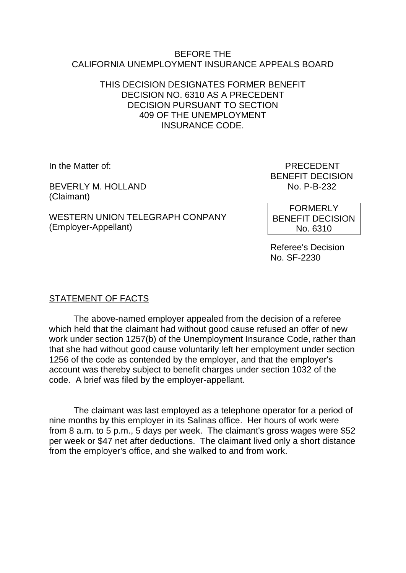#### BEFORE THE CALIFORNIA UNEMPLOYMENT INSURANCE APPEALS BOARD

## THIS DECISION DESIGNATES FORMER BENEFIT DECISION NO. 6310 AS A PRECEDENT DECISION PURSUANT TO SECTION 409 OF THE UNEMPLOYMENT INSURANCE CODE.

BEVERLY M. HOLLAND (Claimant)

WESTERN UNION TELEGRAPH CONPANY (Employer-Appellant)

In the Matter of: PRECEDENT BENEFIT DECISION<br>No. P-B-232

> FORMERLY BENEFIT DECISION No. 6310

Referee's Decision No. SF-2230

# STATEMENT OF FACTS

The above-named employer appealed from the decision of a referee which held that the claimant had without good cause refused an offer of new work under section 1257(b) of the Unemployment Insurance Code, rather than that she had without good cause voluntarily left her employment under section 1256 of the code as contended by the employer, and that the employer's account was thereby subject to benefit charges under section 1032 of the code. A brief was filed by the employer-appellant.

The claimant was last employed as a telephone operator for a period of nine months by this employer in its Salinas office. Her hours of work were from 8 a.m. to 5 p.m., 5 days per week. The claimant's gross wages were \$52 per week or \$47 net after deductions. The claimant lived only a short distance from the employer's office, and she walked to and from work.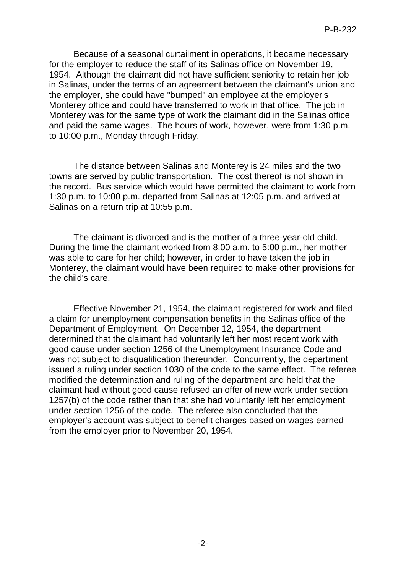Because of a seasonal curtailment in operations, it became necessary for the employer to reduce the staff of its Salinas office on November 19, 1954. Although the claimant did not have sufficient seniority to retain her job in Salinas, under the terms of an agreement between the claimant's union and the employer, she could have "bumped" an employee at the employer's Monterey office and could have transferred to work in that office. The job in Monterey was for the same type of work the claimant did in the Salinas office and paid the same wages. The hours of work, however, were from 1:30 p.m. to 10:00 p.m., Monday through Friday.

The distance between Salinas and Monterey is 24 miles and the two towns are served by public transportation. The cost thereof is not shown in the record. Bus service which would have permitted the claimant to work from 1:30 p.m. to 10:00 p.m. departed from Salinas at 12:05 p.m. and arrived at Salinas on a return trip at 10:55 p.m.

The claimant is divorced and is the mother of a three-year-old child. During the time the claimant worked from 8:00 a.m. to 5:00 p.m., her mother was able to care for her child; however, in order to have taken the job in Monterey, the claimant would have been required to make other provisions for the child's care.

Effective November 21, 1954, the claimant registered for work and filed a claim for unemployment compensation benefits in the Salinas office of the Department of Employment. On December 12, 1954, the department determined that the claimant had voluntarily left her most recent work with good cause under section 1256 of the Unemployment Insurance Code and was not subject to disqualification thereunder. Concurrently, the department issued a ruling under section 1030 of the code to the same effect. The referee modified the determination and ruling of the department and held that the claimant had without good cause refused an offer of new work under section 1257(b) of the code rather than that she had voluntarily left her employment under section 1256 of the code. The referee also concluded that the employer's account was subject to benefit charges based on wages earned from the employer prior to November 20, 1954.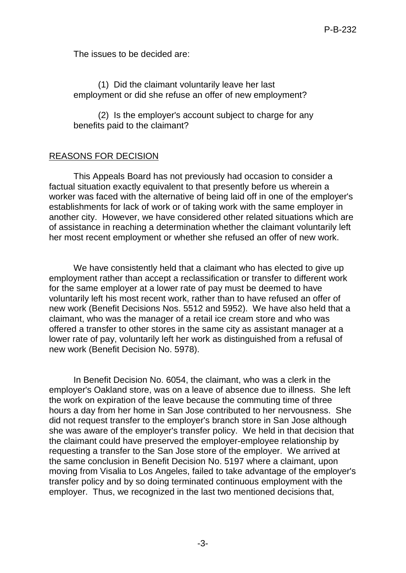The issues to be decided are:

(1) Did the claimant voluntarily leave her last employment or did she refuse an offer of new employment?

(2) Is the employer's account subject to charge for any benefits paid to the claimant?

### REASONS FOR DECISION

This Appeals Board has not previously had occasion to consider a factual situation exactly equivalent to that presently before us wherein a worker was faced with the alternative of being laid off in one of the employer's establishments for lack of work or of taking work with the same employer in another city. However, we have considered other related situations which are of assistance in reaching a determination whether the claimant voluntarily left her most recent employment or whether she refused an offer of new work.

We have consistently held that a claimant who has elected to give up employment rather than accept a reclassification or transfer to different work for the same employer at a lower rate of pay must be deemed to have voluntarily left his most recent work, rather than to have refused an offer of new work (Benefit Decisions Nos. 5512 and 5952). We have also held that a claimant, who was the manager of a retail ice cream store and who was offered a transfer to other stores in the same city as assistant manager at a lower rate of pay, voluntarily left her work as distinguished from a refusal of new work (Benefit Decision No. 5978).

In Benefit Decision No. 6054, the claimant, who was a clerk in the employer's Oakland store, was on a leave of absence due to illness. She left the work on expiration of the leave because the commuting time of three hours a day from her home in San Jose contributed to her nervousness. She did not request transfer to the employer's branch store in San Jose although she was aware of the employer's transfer policy. We held in that decision that the claimant could have preserved the employer-employee relationship by requesting a transfer to the San Jose store of the employer. We arrived at the same conclusion in Benefit Decision No. 5197 where a claimant, upon moving from Visalia to Los Angeles, failed to take advantage of the employer's transfer policy and by so doing terminated continuous employment with the employer. Thus, we recognized in the last two mentioned decisions that,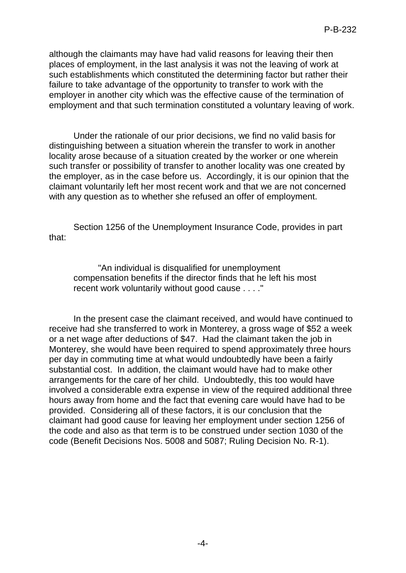although the claimants may have had valid reasons for leaving their then places of employment, in the last analysis it was not the leaving of work at such establishments which constituted the determining factor but rather their failure to take advantage of the opportunity to transfer to work with the employer in another city which was the effective cause of the termination of employment and that such termination constituted a voluntary leaving of work.

Under the rationale of our prior decisions, we find no valid basis for distinguishing between a situation wherein the transfer to work in another locality arose because of a situation created by the worker or one wherein such transfer or possibility of transfer to another locality was one created by the employer, as in the case before us. Accordingly, it is our opinion that the claimant voluntarily left her most recent work and that we are not concerned with any question as to whether she refused an offer of employment.

Section 1256 of the Unemployment Insurance Code, provides in part that:

"An individual is disqualified for unemployment compensation benefits if the director finds that he left his most recent work voluntarily without good cause . . . ."

In the present case the claimant received, and would have continued to receive had she transferred to work in Monterey, a gross wage of \$52 a week or a net wage after deductions of \$47. Had the claimant taken the job in Monterey, she would have been required to spend approximately three hours per day in commuting time at what would undoubtedly have been a fairly substantial cost. In addition, the claimant would have had to make other arrangements for the care of her child. Undoubtedly, this too would have involved a considerable extra expense in view of the required additional three hours away from home and the fact that evening care would have had to be provided. Considering all of these factors, it is our conclusion that the claimant had good cause for leaving her employment under section 1256 of the code and also as that term is to be construed under section 1030 of the code (Benefit Decisions Nos. 5008 and 5087; Ruling Decision No. R-1).